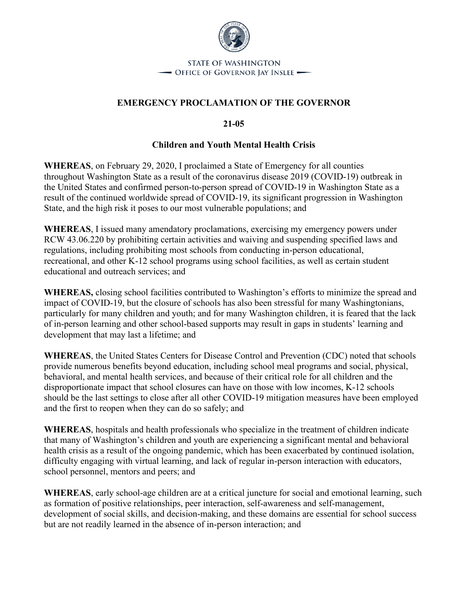

## **EMERGENCY PROCLAMATION OF THE GOVERNOR**

**21-05**

## **Children and Youth Mental Health Crisis**

**WHEREAS**, on February 29, 2020, I proclaimed a State of Emergency for all counties throughout Washington State as a result of the coronavirus disease 2019 (COVID-19) outbreak in the United States and confirmed person-to-person spread of COVID-19 in Washington State as a result of the continued worldwide spread of COVID-19, its significant progression in Washington State, and the high risk it poses to our most vulnerable populations; and

**WHEREAS**, I issued many amendatory proclamations, exercising my emergency powers under RCW 43.06.220 by prohibiting certain activities and waiving and suspending specified laws and regulations, including prohibiting most schools from conducting in-person educational, recreational, and other K-12 school programs using school facilities, as well as certain student educational and outreach services; and

**WHEREAS,** closing school facilities contributed to Washington's efforts to minimize the spread and impact of COVID-19, but the closure of schools has also been stressful for many Washingtonians, particularly for many children and youth; and for many Washington children, it is feared that the lack of in-person learning and other school-based supports may result in gaps in students' learning and development that may last a lifetime; and

**WHEREAS**, the United States Centers for Disease Control and Prevention (CDC) noted that schools provide numerous benefits beyond education, including school meal programs and social, physical, behavioral, and mental health services, and because of their critical role for all children and the disproportionate impact that school closures can have on those with low incomes, K-12 schools should be the last settings to close after all other COVID-19 mitigation measures have been employed and the first to reopen when they can do so safely; and

**WHEREAS**, hospitals and health professionals who specialize in the treatment of children indicate that many of Washington's children and youth are experiencing a significant mental and behavioral health crisis as a result of the ongoing pandemic, which has been exacerbated by continued isolation, difficulty engaging with virtual learning, and lack of regular in-person interaction with educators, school personnel, mentors and peers; and

**WHEREAS**, early school-age children are at a critical juncture for social and emotional learning, such as formation of positive relationships, peer interaction, self-awareness and self-management, development of social skills, and decision-making, and these domains are essential for school success but are not readily learned in the absence of in-person interaction; and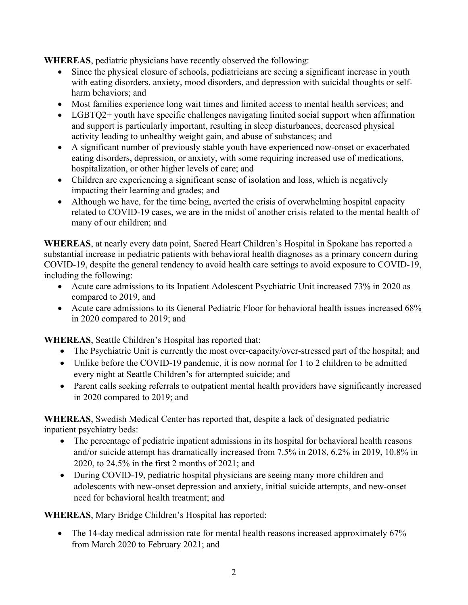**WHEREAS**, pediatric physicians have recently observed the following:

- Since the physical closure of schools, pediatricians are seeing a significant increase in youth with eating disorders, anxiety, mood disorders, and depression with suicidal thoughts or selfharm behaviors; and
- Most families experience long wait times and limited access to mental health services; and
- LGBTQ2+ youth have specific challenges navigating limited social support when affirmation and support is particularly important, resulting in sleep disturbances, decreased physical activity leading to unhealthy weight gain, and abuse of substances; and
- A significant number of previously stable youth have experienced now-onset or exacerbated eating disorders, depression, or anxiety, with some requiring increased use of medications, hospitalization, or other higher levels of care; and
- Children are experiencing a significant sense of isolation and loss, which is negatively impacting their learning and grades; and
- Although we have, for the time being, averted the crisis of overwhelming hospital capacity related to COVID-19 cases, we are in the midst of another crisis related to the mental health of many of our children; and

**WHEREAS**, at nearly every data point, Sacred Heart Children's Hospital in Spokane has reported a substantial increase in pediatric patients with behavioral health diagnoses as a primary concern during COVID-19, despite the general tendency to avoid health care settings to avoid exposure to COVID-19, including the following:

- Acute care admissions to its Inpatient Adolescent Psychiatric Unit increased 73% in 2020 as compared to 2019, and
- Acute care admissions to its General Pediatric Floor for behavioral health issues increased 68% in 2020 compared to 2019; and

**WHEREAS**, Seattle Children's Hospital has reported that:

- The Psychiatric Unit is currently the most over-capacity/over-stressed part of the hospital; and
- Unlike before the COVID-19 pandemic, it is now normal for 1 to 2 children to be admitted every night at Seattle Children's for attempted suicide; and
- Parent calls seeking referrals to outpatient mental health providers have significantly increased in 2020 compared to 2019; and

**WHEREAS**, Swedish Medical Center has reported that, despite a lack of designated pediatric inpatient psychiatry beds:

- The percentage of pediatric inpatient admissions in its hospital for behavioral health reasons and/or suicide attempt has dramatically increased from 7.5% in 2018, 6.2% in 2019, 10.8% in 2020, to 24.5% in the first 2 months of 2021; and
- During COVID-19, pediatric hospital physicians are seeing many more children and adolescents with new-onset depression and anxiety, initial suicide attempts, and new-onset need for behavioral health treatment; and

**WHEREAS**, Mary Bridge Children's Hospital has reported:

• The 14-day medical admission rate for mental health reasons increased approximately 67% from March 2020 to February 2021; and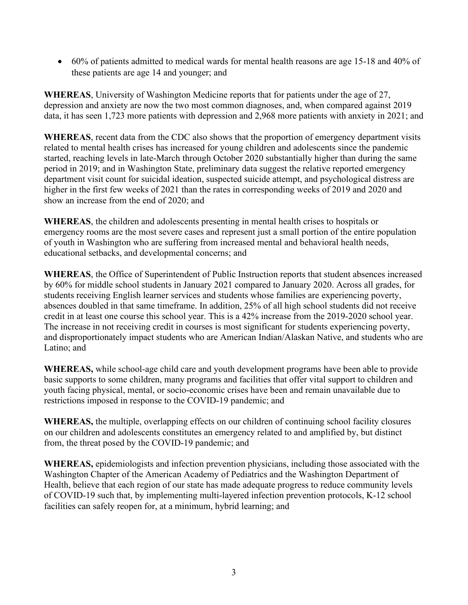• 60% of patients admitted to medical wards for mental health reasons are age 15-18 and 40% of these patients are age 14 and younger; and

**WHEREAS**, University of Washington Medicine reports that for patients under the age of 27, depression and anxiety are now the two most common diagnoses, and, when compared against 2019 data, it has seen 1,723 more patients with depression and 2,968 more patients with anxiety in 2021; and

**WHEREAS**, recent data from the CDC also shows that the proportion of emergency department visits related to mental health crises has increased for young children and adolescents since the pandemic started, reaching levels in late-March through October 2020 substantially higher than during the same period in 2019; and in Washington State, preliminary data suggest the relative reported emergency department visit count for suicidal ideation, suspected suicide attempt, and psychological distress are higher in the first few weeks of 2021 than the rates in corresponding weeks of 2019 and 2020 and show an increase from the end of 2020; and

**WHEREAS**, the children and adolescents presenting in mental health crises to hospitals or emergency rooms are the most severe cases and represent just a small portion of the entire population of youth in Washington who are suffering from increased mental and behavioral health needs, educational setbacks, and developmental concerns; and

**WHEREAS**, the Office of Superintendent of Public Instruction reports that student absences increased by 60% for middle school students in January 2021 compared to January 2020. Across all grades, for students receiving English learner services and students whose families are experiencing poverty, absences doubled in that same timeframe. In addition, 25% of all high school students did not receive credit in at least one course this school year. This is a 42% increase from the 2019-2020 school year. The increase in not receiving credit in courses is most significant for students experiencing poverty, and disproportionately impact students who are American Indian/Alaskan Native, and students who are Latino; and

**WHEREAS,** while school-age child care and youth development programs have been able to provide basic supports to some children, many programs and facilities that offer vital support to children and youth facing physical, mental, or socio-economic crises have been and remain unavailable due to restrictions imposed in response to the COVID-19 pandemic; and

**WHEREAS,** the multiple, overlapping effects on our children of continuing school facility closures on our children and adolescents constitutes an emergency related to and amplified by, but distinct from, the threat posed by the COVID-19 pandemic; and

**WHEREAS,** epidemiologists and infection prevention physicians, including those associated with the Washington Chapter of the American Academy of Pediatrics and the Washington Department of Health, believe that each region of our state has made adequate progress to reduce community levels of COVID-19 such that, by implementing multi-layered infection prevention protocols, K-12 school facilities can safely reopen for, at a minimum, hybrid learning; and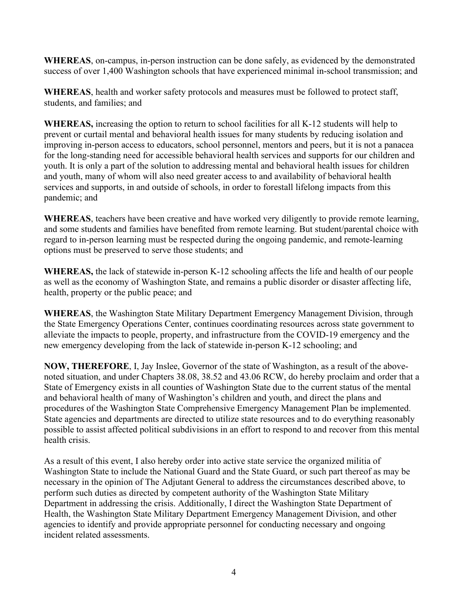**WHEREAS**, on-campus, in-person instruction can be done safely, as evidenced by the demonstrated success of over 1,400 Washington schools that have experienced minimal in-school transmission; and

**WHEREAS**, health and worker safety protocols and measures must be followed to protect staff, students, and families; and

**WHEREAS,** increasing the option to return to school facilities for all K-12 students will help to prevent or curtail mental and behavioral health issues for many students by reducing isolation and improving in-person access to educators, school personnel, mentors and peers, but it is not a panacea for the long-standing need for accessible behavioral health services and supports for our children and youth. It is only a part of the solution to addressing mental and behavioral health issues for children and youth, many of whom will also need greater access to and availability of behavioral health services and supports, in and outside of schools, in order to forestall lifelong impacts from this pandemic; and

**WHEREAS**, teachers have been creative and have worked very diligently to provide remote learning, and some students and families have benefited from remote learning. But student/parental choice with regard to in-person learning must be respected during the ongoing pandemic, and remote-learning options must be preserved to serve those students; and

**WHEREAS,** the lack of statewide in-person K-12 schooling affects the life and health of our people as well as the economy of Washington State, and remains a public disorder or disaster affecting life, health, property or the public peace; and

**WHEREAS**, the Washington State Military Department Emergency Management Division, through the State Emergency Operations Center, continues coordinating resources across state government to alleviate the impacts to people, property, and infrastructure from the COVID-19 emergency and the new emergency developing from the lack of statewide in-person K-12 schooling; and

**NOW, THEREFORE**, I, Jay Inslee, Governor of the state of Washington, as a result of the abovenoted situation, and under Chapters 38.08, 38.52 and 43.06 RCW, do hereby proclaim and order that a State of Emergency exists in all counties of Washington State due to the current status of the mental and behavioral health of many of Washington's children and youth, and direct the plans and procedures of the Washington State Comprehensive Emergency Management Plan be implemented. State agencies and departments are directed to utilize state resources and to do everything reasonably possible to assist affected political subdivisions in an effort to respond to and recover from this mental health crisis.

As a result of this event, I also hereby order into active state service the organized militia of Washington State to include the National Guard and the State Guard, or such part thereof as may be necessary in the opinion of The Adjutant General to address the circumstances described above, to perform such duties as directed by competent authority of the Washington State Military Department in addressing the crisis. Additionally, I direct the Washington State Department of Health, the Washington State Military Department Emergency Management Division, and other agencies to identify and provide appropriate personnel for conducting necessary and ongoing incident related assessments.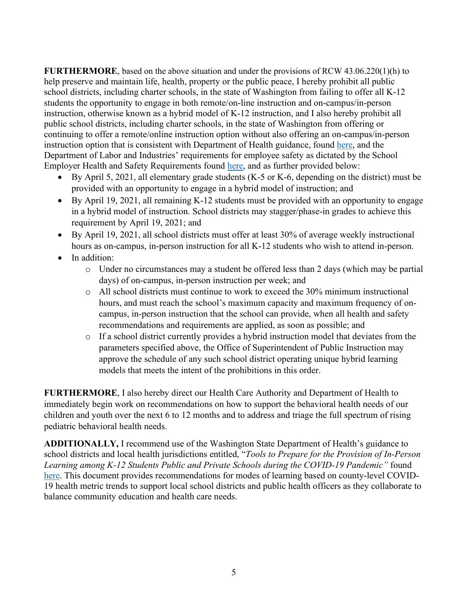**FURTHERMORE**, based on the above situation and under the provisions of RCW 43.06.220(1)(h) to help preserve and maintain life, health, property or the public peace, I hereby prohibit all public school districts, including charter schools, in the state of Washington from failing to offer all K-12 students the opportunity to engage in both remote/on-line instruction and on-campus/in-person instruction, otherwise known as a hybrid model of K-12 instruction, and I also hereby prohibit all public school districts, including charter schools, in the state of Washington from offering or continuing to offer a remote/online instruction option without also offering an on-campus/in-person instruction option that is consistent with Department of Health guidance, found [here,](https://www.doh.wa.gov/Portals/1/Documents/1600/coronavirus/FallGuidanceK-12.pdf) and the Department of Labor and Industries' requirements for employee safety as dictated by the School Employer Health and Safety Requirements found [here,](https://www.k12.wa.us/sites/default/files/public/communications/Employer-Health-and-Safety-Requirements-for-School-Scenarios.pdf) and as further provided below:

- By April 5, 2021, all elementary grade students (K-5 or K-6, depending on the district) must be provided with an opportunity to engage in a hybrid model of instruction; and
- By April 19, 2021, all remaining K-12 students must be provided with an opportunity to engage in a hybrid model of instruction. School districts may stagger/phase-in grades to achieve this requirement by April 19, 2021; and
- By April 19, 2021, all school districts must offer at least 30% of average weekly instructional hours as on-campus, in-person instruction for all K-12 students who wish to attend in-person.
- In addition:
	- o Under no circumstances may a student be offered less than 2 days (which may be partial days) of on-campus, in-person instruction per week; and
	- $\circ$  All school districts must continue to work to exceed the 30% minimum instructional hours, and must reach the school's maximum capacity and maximum frequency of oncampus, in-person instruction that the school can provide, when all health and safety recommendations and requirements are applied, as soon as possible; and
	- o If a school district currently provides a hybrid instruction model that deviates from the parameters specified above, the Office of Superintendent of Public Instruction may approve the schedule of any such school district operating unique hybrid learning models that meets the intent of the prohibitions in this order.

**FURTHERMORE**, I also hereby direct our Health Care Authority and Department of Health to immediately begin work on recommendations on how to support the behavioral health needs of our children and youth over the next 6 to 12 months and to address and triage the full spectrum of rising pediatric behavioral health needs.

**ADDITIONALLY,** I recommend use of the Washington State Department of Health's guidance to school districts and local health jurisdictions entitled, "*Tools to Prepare for the Provision of In-Person Learning among K-12 Students Public and Private Schools during the COVID-19 Pandemic"* found [here.](https://www.doh.wa.gov/Portals/1/Documents/1600/coronavirus/DecisionTree-K12schools.pdf) This document provides recommendations for modes of learning based on county-level COVID-19 health metric trends to support local school districts and public health officers as they collaborate to balance community education and health care needs.